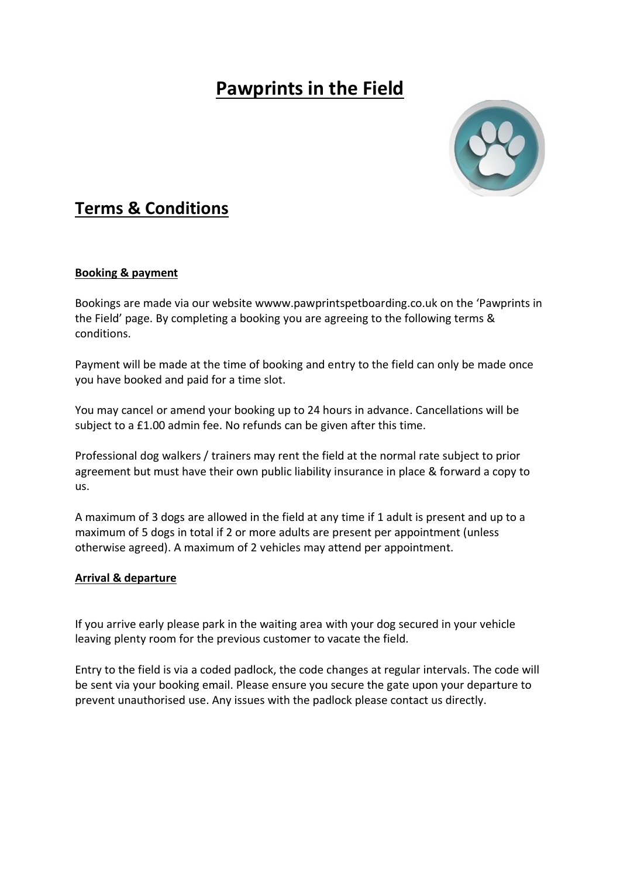# **Pawprints in the Field**



# **Terms & Conditions**

# **Booking & payment**

Bookings are made via our website wwww.pawprintspetboarding.co.uk on the 'Pawprints in the Field' page. By completing a booking you are agreeing to the following terms & conditions.

Payment will be made at the time of booking and entry to the field can only be made once you have booked and paid for a time slot.

You may cancel or amend your booking up to 24 hours in advance. Cancellations will be subject to a £1.00 admin fee. No refunds can be given after this time.

Professional dog walkers / trainers may rent the field at the normal rate subject to prior agreement but must have their own public liability insurance in place & forward a copy to us.

A maximum of 3 dogs are allowed in the field at any time if 1 adult is present and up to a maximum of 5 dogs in total if 2 or more adults are present per appointment (unless otherwise agreed). A maximum of 2 vehicles may attend per appointment.

#### **Arrival & departure**

If you arrive early please park in the waiting area with your dog secured in your vehicle leaving plenty room for the previous customer to vacate the field.

Entry to the field is via a coded padlock, the code changes at regular intervals. The code will be sent via your booking email. Please ensure you secure the gate upon your departure to prevent unauthorised use. Any issues with the padlock please contact us directly.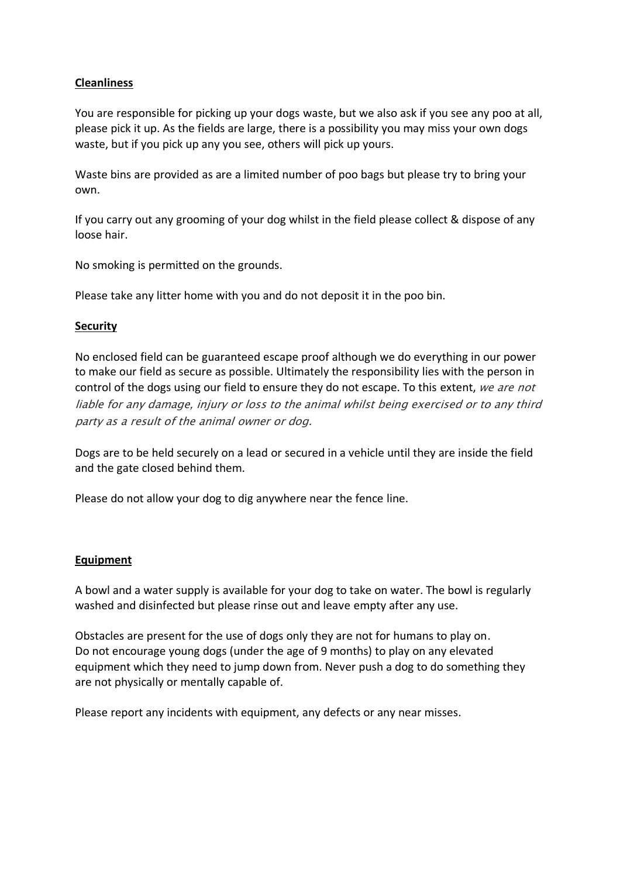# **Cleanliness**

You are responsible for picking up your dogs waste, but we also ask if you see any poo at all, please pick it up. As the fields are large, there is a possibility you may miss your own dogs waste, but if you pick up any you see, others will pick up yours.

Waste bins are provided as are a limited number of poo bags but please try to bring your own.

If you carry out any grooming of your dog whilst in the field please collect & dispose of any loose hair.

No smoking is permitted on the grounds.

Please take any litter home with you and do not deposit it in the poo bin.

# **Security**

No enclosed field can be guaranteed escape proof although we do everything in our power to make our field as secure as possible. Ultimately the responsibility lies with the person in control of the dogs using our field to ensure they do not escape. To this extent, we are not liable for any damage, injury or loss to the animal whilst being exercised or to any third party as a result of the animal owner or dog.

Dogs are to be held securely on a lead or secured in a vehicle until they are inside the field and the gate closed behind them.

Please do not allow your dog to dig anywhere near the fence line.

#### **Equipment**

A bowl and a water supply is available for your dog to take on water. The bowl is regularly washed and disinfected but please rinse out and leave empty after any use.

Obstacles are present for the use of dogs only they are not for humans to play on. Do not encourage young dogs (under the age of 9 months) to play on any elevated equipment which they need to jump down from. Never push a dog to do something they are not physically or mentally capable of.

Please report any incidents with equipment, any defects or any near misses.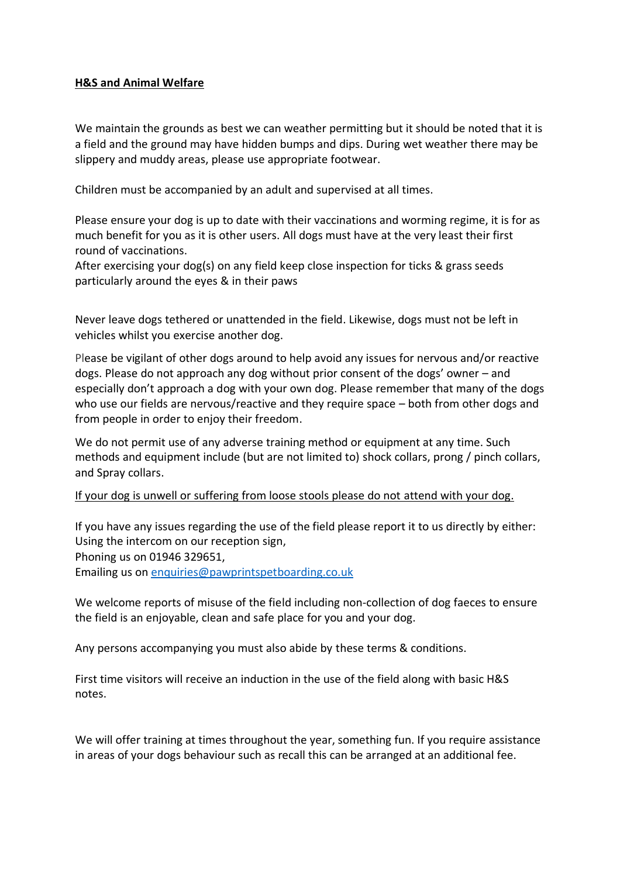# **H&S and Animal Welfare**

We maintain the grounds as best we can weather permitting but it should be noted that it is a field and the ground may have hidden bumps and dips. During wet weather there may be slippery and muddy areas, please use appropriate footwear.

Children must be accompanied by an adult and supervised at all times.

Please ensure your dog is up to date with their vaccinations and worming regime, it is for as much benefit for you as it is other users. All dogs must have at the very least their first round of vaccinations.

After exercising your dog(s) on any field keep close inspection for ticks & grass seeds particularly around the eyes & in their paws

Never leave dogs tethered or unattended in the field. Likewise, dogs must not be left in vehicles whilst you exercise another dog.

Please be vigilant of other dogs around to help avoid any issues for nervous and/or reactive dogs. Please do not approach any dog without prior consent of the dogs' owner – and especially don't approach a dog with your own dog. Please remember that many of the dogs who use our fields are nervous/reactive and they require space – both from other dogs and from people in order to enjoy their freedom.

We do not permit use of any adverse training method or equipment at any time. Such methods and equipment include (but are not limited to) shock collars, prong / pinch collars, and Spray collars.

# If your dog is unwell or suffering from loose stools please do not attend with your dog.

If you have any issues regarding the use of the field please report it to us directly by either: Using the intercom on our reception sign, Phoning us on 01946 329651, Emailing us on [enquiries@pawprintspetboarding.co.uk](mailto:enquiries@pawprintspetboarding.co.uk)

We welcome reports of misuse of the field including non-collection of dog faeces to ensure the field is an enjoyable, clean and safe place for you and your dog.

Any persons accompanying you must also abide by these terms & conditions.

First time visitors will receive an induction in the use of the field along with basic H&S notes.

We will offer training at times throughout the year, something fun. If you require assistance in areas of your dogs behaviour such as recall this can be arranged at an additional fee.